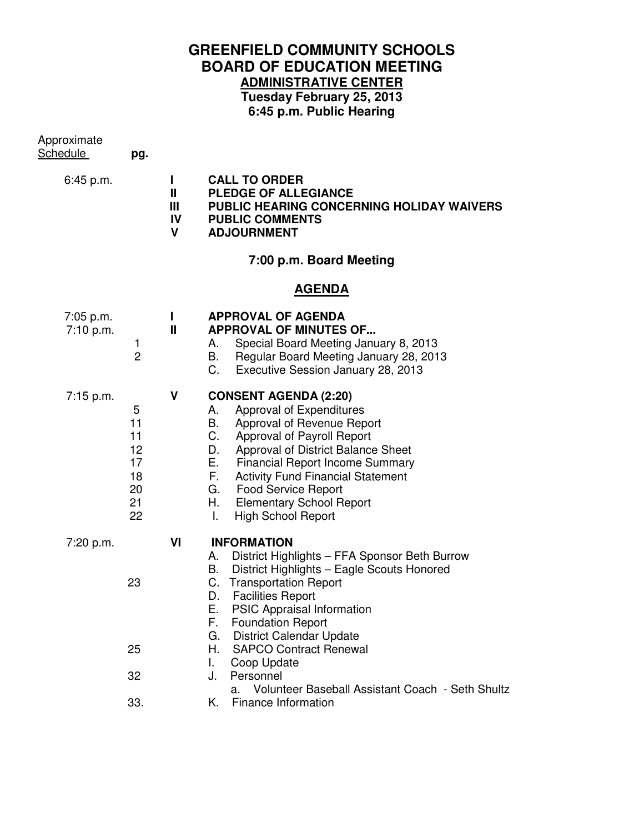## **GREENFIELD COMMUNITY SCHOOLS BOARD OF EDUCATION MEETING ADMINISTRATIVE CENTER Tuesday February 25, 2013**

**6:45 p.m. Public Hearing** 

| Approximate<br><u>Schedule</u> | pg.                                               |                                   |                                                                                                                                                                                                                                                                                                                                                                                                                                                                                            |
|--------------------------------|---------------------------------------------------|-----------------------------------|--------------------------------------------------------------------------------------------------------------------------------------------------------------------------------------------------------------------------------------------------------------------------------------------------------------------------------------------------------------------------------------------------------------------------------------------------------------------------------------------|
| 6:45 p.m.                      |                                                   | Н<br>Ш<br>Ш<br>IV<br>$\mathsf{V}$ | <b>CALL TO ORDER</b><br>PLEDGE OF ALLEGIANCE<br>PUBLIC HEARING CONCERNING HOLIDAY WAIVERS<br><b>PUBLIC COMMENTS</b><br><b>ADJOURNMENT</b>                                                                                                                                                                                                                                                                                                                                                  |
|                                |                                                   |                                   | 7:00 p.m. Board Meeting                                                                                                                                                                                                                                                                                                                                                                                                                                                                    |
|                                |                                                   |                                   | <b>AGENDA</b>                                                                                                                                                                                                                                                                                                                                                                                                                                                                              |
| 7:05 p.m.<br>7:10 p.m.         | 1<br>$\overline{2}$                               | Н<br>Ш                            | <b>APPROVAL OF AGENDA</b><br><b>APPROVAL OF MINUTES OF</b><br>Special Board Meeting January 8, 2013<br>A. .<br>Regular Board Meeting January 28, 2013<br>В.<br>C.<br>Executive Session January 28, 2013                                                                                                                                                                                                                                                                                    |
| 7:15 p.m.                      | 5<br>11<br>11<br>12<br>17<br>18<br>20<br>21<br>22 | V                                 | <b>CONSENT AGENDA (2:20)</b><br>Approval of Expenditures<br>А.<br>Approval of Revenue Report<br>B.<br>C.<br>Approval of Payroll Report<br>D.<br>Approval of District Balance Sheet<br>Е.<br><b>Financial Report Income Summary</b><br>F.<br><b>Activity Fund Financial Statement</b><br>G.<br><b>Food Service Report</b><br>Η.<br><b>Elementary School Report</b><br><b>High School Report</b><br>Τ.                                                                                       |
| 7:20 p.m.                      | 23<br>25<br>32<br>33.                             | VI                                | <b>INFORMATION</b><br>District Highlights - FFA Sponsor Beth Burrow<br>А.<br>В.<br>District Highlights - Eagle Scouts Honored<br>C.<br><b>Transportation Report</b><br><b>Facilities Report</b><br>D.<br>PSIC Appraisal Information<br>Е.<br>F.<br><b>Foundation Report</b><br><b>District Calendar Update</b><br>G.<br>Η.<br><b>SAPCO Contract Renewal</b><br>Coop Update<br>L.<br>Personnel<br>J.<br>Volunteer Baseball Assistant Coach - Seth Shultz<br>a.<br>Finance Information<br>Κ. |
|                                |                                                   |                                   |                                                                                                                                                                                                                                                                                                                                                                                                                                                                                            |